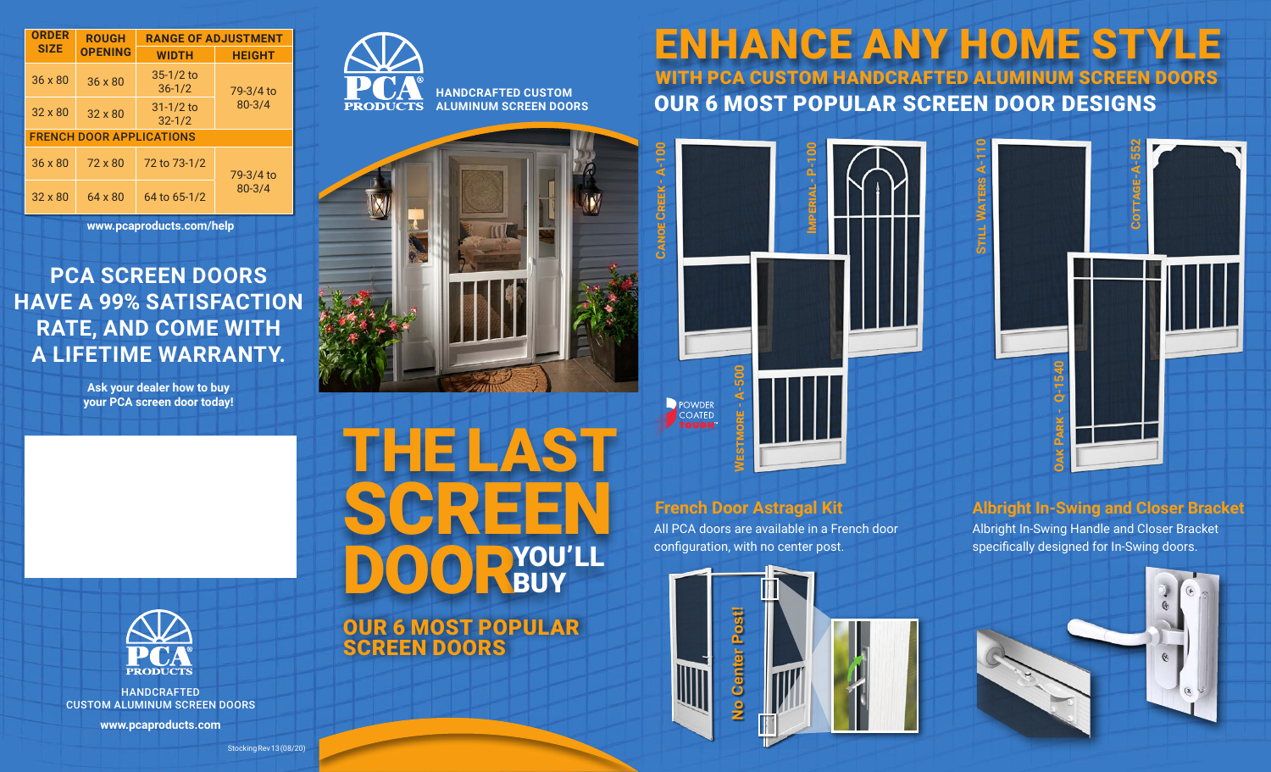| <b>ORDER</b>                    | <b>ROUGH</b><br><b>OPENING</b> | <b>RANGE OF ADJUSTMENT</b>  |                         |
|---------------------------------|--------------------------------|-----------------------------|-------------------------|
| <b>SIZE</b>                     |                                | <b>WIDTH</b>                | <b>HEIGHT</b>           |
| $36 \times 80$                  | 36 x 80                        | $35 - 1/2$ to<br>$36 - 1/2$ | 79-3/4 to<br>$80 - 3/4$ |
| $32 \times 80$                  | $32 \times 80$                 | $31 - 1/2$ to<br>$32 - 1/2$ |                         |
| <b>FRENCH DOOR APPLICATIONS</b> |                                |                             |                         |
| $36 \times 80$                  | 72 x 80                        | 72 to 73-1/2                | 79-3/4 to<br>$80 - 3/4$ |
| $32 \times 80$                  | $64 \times 80$                 | 64 to 65-1/2                |                         |

**www.pcaproducts.com/help**

### **PCA SCREEN DOORS HAVE A 99% SATISFACTION RATE, AND COME WITH A LIFETIME WARRANTY.**

**Ask your dealer how to buy your PCA screen door today!**



**HANDCRAFTED CUSTOM ALUMINUM SCREEN DOORS**



THE LAST SCR DOOR YOU'LL

OUR 6 MOST POPULAR SCREEN DOORS

ENHANCE ANY HOME STYLE WITH PCA CUSTOM HANDCRAFTED ALUMINUM SCREEN DOORS

OUR 6 MOST POPULAR SCREEN DOOR DESIGNS



All PCA doors are available in a French door **French Door Astragal Kit**



**Cottage - A-552**

**Albright In-Swing and Closer Bracket**

Albright In-Swing Handle and Closer Bracket specifically designed for In-Swing doors.





HANDCRAFTED CUSTOM ALUMINUM SCREEN DOORS

**www.pcaproducts.com**